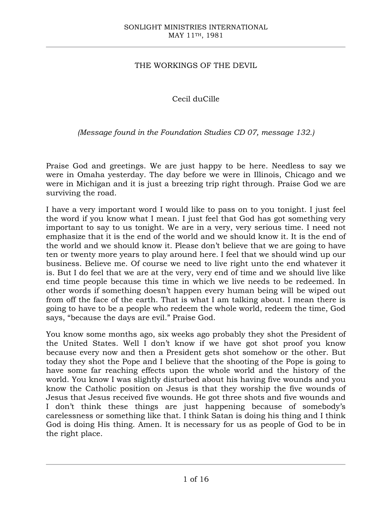## THE WORKINGS OF THE DEVIL

# Cecil duCille

*(Message found in the Foundation Studies CD 07, message 132.)*

Praise God and greetings. We are just happy to be here. Needless to say we were in Omaha yesterday. The day before we were in Illinois, Chicago and we were in Michigan and it is just a breezing trip right through. Praise God we are surviving the road.

I have a very important word I would like to pass on to you tonight. I just feel the word if you know what I mean. I just feel that God has got something very important to say to us tonight. We are in a very, very serious time. I need not emphasize that it is the end of the world and we should know it. It is the end of the world and we should know it. Please don't believe that we are going to have ten or twenty more years to play around here. I feel that we should wind up our business. Believe me. Of course we need to live right unto the end whatever it is. But I do feel that we are at the very, very end of time and we should live like end time people because this time in which we live needs to be redeemed. In other words if something doesn't happen every human being will be wiped out from off the face of the earth. That is what I am talking about. I mean there is going to have to be a people who redeem the whole world, redeem the time, God says, "because the days are evil." Praise God.

You know some months ago, six weeks ago probably they shot the President of the United States. Well I don't know if we have got shot proof you know because every now and then a President gets shot somehow or the other. But today they shot the Pope and I believe that the shooting of the Pope is going to have some far reaching effects upon the whole world and the history of the world. You know I was slightly disturbed about his having five wounds and you know the Catholic position on Jesus is that they worship the five wounds of Jesus that Jesus received five wounds. He got three shots and five wounds and I don't think these things are just happening because of somebody's carelessness or something like that. I think Satan is doing his thing and I think God is doing His thing. Amen. It is necessary for us as people of God to be in the right place.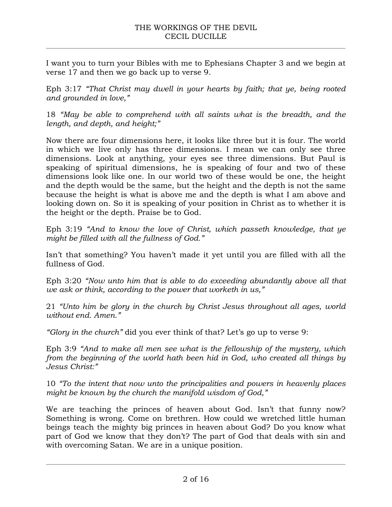I want you to turn your Bibles with me to Ephesians Chapter 3 and we begin at verse 17 and then we go back up to verse 9.

Eph 3:17 *"That Christ may dwell in your hearts by faith; that ye, being rooted and grounded in love,"*

18 *"May be able to comprehend with all saints what is the breadth, and the length, and depth, and height;"*

Now there are four dimensions here, it looks like three but it is four. The world in which we live only has three dimensions. I mean we can only see three dimensions. Look at anything, your eyes see three dimensions. But Paul is speaking of spiritual dimensions, he is speaking of four and two of these dimensions look like one. In our world two of these would be one, the height and the depth would be the same, but the height and the depth is not the same because the height is what is above me and the depth is what I am above and looking down on. So it is speaking of your position in Christ as to whether it is the height or the depth. Praise be to God.

Eph 3:19 *"And to know the love of Christ, which passeth knowledge, that ye might be filled with all the fullness of God."*

Isn't that something? You haven't made it yet until you are filled with all the fullness of God.

Eph 3:20 *"Now unto him that is able to do exceeding abundantly above all that we ask or think, according to the power that worketh in us,"*

21 *"Unto him be glory in the church by Christ Jesus throughout all ages, world without end. Amen."*

*"Glory in the church"* did you ever think of that? Let's go up to verse 9:

Eph 3:9 *"And to make all men see what is the fellowship of the mystery, which from the beginning of the world hath been hid in God, who created all things by Jesus Christ:"*

10 *"To the intent that now unto the principalities and powers in heavenly places might be known by the church the manifold wisdom of God,"*

We are teaching the princes of heaven about God. Isn't that funny now? Something is wrong. Come on brethren. How could we wretched little human beings teach the mighty big princes in heaven about God? Do you know what part of God we know that they don't? The part of God that deals with sin and with overcoming Satan. We are in a unique position.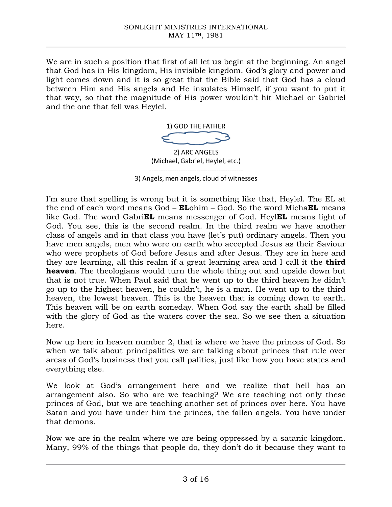We are in such a position that first of all let us begin at the beginning. An angel that God has in His kingdom, His invisible kingdom. God's glory and power and light comes down and it is so great that the Bible said that God has a cloud between Him and His angels and He insulates Himself, if you want to put it that way, so that the magnitude of His power wouldn't hit Michael or Gabriel and the one that fell was Heylel.



3) Angels, men angels, cloud of witnesses

I'm sure that spelling is wrong but it is something like that, Heylel. The EL at the end of each word means God – **EL**ohim – God. So the word Micha**EL** means like God. The word Gabri**EL** means messenger of God. Heyl**EL** means light of God. You see, this is the second realm. In the third realm we have another class of angels and in that class you have (let's put) ordinary angels. Then you have men angels, men who were on earth who accepted Jesus as their Saviour who were prophets of God before Jesus and after Jesus. They are in here and they are learning, all this realm if a great learning area and I call it the **third heaven**. The theologians would turn the whole thing out and upside down but that is not true. When Paul said that he went up to the third heaven he didn't go up to the highest heaven, he couldn't, he is a man. He went up to the third heaven, the lowest heaven. This is the heaven that is coming down to earth. This heaven will be on earth someday. When God say the earth shall be filled with the glory of God as the waters cover the sea. So we see then a situation here.

Now up here in heaven number 2, that is where we have the princes of God. So when we talk about principalities we are talking about princes that rule over areas of God's business that you call palities, just like how you have states and everything else.

We look at God's arrangement here and we realize that hell has an arrangement also. So who are we teaching? We are teaching not only these princes of God, but we are teaching another set of princes over here. You have Satan and you have under him the princes, the fallen angels. You have under that demons.

Now we are in the realm where we are being oppressed by a satanic kingdom. Many, 99% of the things that people do, they don't do it because they want to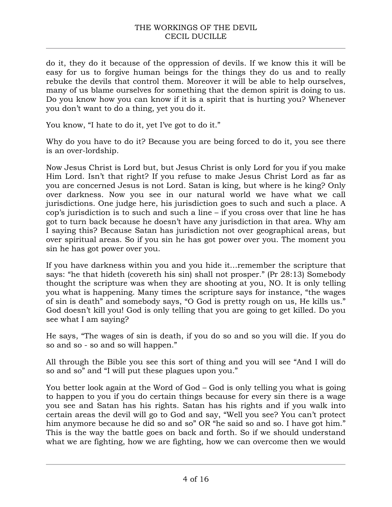do it, they do it because of the oppression of devils. If we know this it will be easy for us to forgive human beings for the things they do us and to really rebuke the devils that control them. Moreover it will be able to help ourselves, many of us blame ourselves for something that the demon spirit is doing to us. Do you know how you can know if it is a spirit that is hurting you? Whenever you don't want to do a thing, yet you do it.

You know, "I hate to do it, yet I've got to do it."

Why do you have to do it? Because you are being forced to do it, you see there is an over-lordship.

Now Jesus Christ is Lord but, but Jesus Christ is only Lord for you if you make Him Lord. Isn't that right? If you refuse to make Jesus Christ Lord as far as you are concerned Jesus is not Lord. Satan is king, but where is he king? Only over darkness. Now you see in our natural world we have what we call jurisdictions. One judge here, his jurisdiction goes to such and such a place. A cop's jurisdiction is to such and such a line – if you cross over that line he has got to turn back because he doesn't have any jurisdiction in that area. Why am I saying this? Because Satan has jurisdiction not over geographical areas, but over spiritual areas. So if you sin he has got power over you. The moment you sin he has got power over you.

If you have darkness within you and you hide it…remember the scripture that says: "he that hideth (covereth his sin) shall not prosper." (Pr 28:13) Somebody thought the scripture was when they are shooting at you, NO. It is only telling you what is happening. Many times the scripture says for instance, "the wages of sin is death" and somebody says, "O God is pretty rough on us, He kills us." God doesn't kill you! God is only telling that you are going to get killed. Do you see what I am saying?

He says, "The wages of sin is death, if you do so and so you will die. If you do so and so - so and so will happen."

All through the Bible you see this sort of thing and you will see "And I will do so and so" and "I will put these plagues upon you."

You better look again at the Word of God – God is only telling you what is going to happen to you if you do certain things because for every sin there is a wage you see and Satan has his rights. Satan has his rights and if you walk into certain areas the devil will go to God and say, "Well you see? You can't protect him anymore because he did so and so" OR "he said so and so. I have got him." This is the way the battle goes on back and forth. So if we should understand what we are fighting, how we are fighting, how we can overcome then we would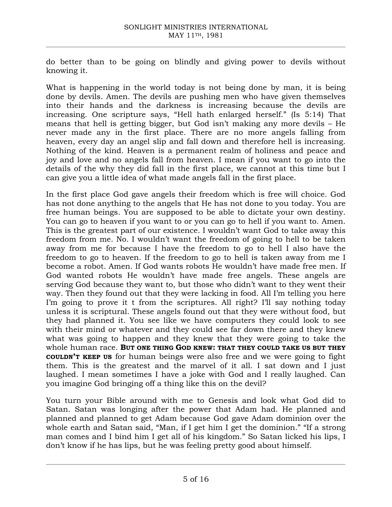do better than to be going on blindly and giving power to devils without knowing it.

What is happening in the world today is not being done by man, it is being done by devils. Amen. The devils are pushing men who have given themselves into their hands and the darkness is increasing because the devils are increasing. One scripture says, "Hell hath enlarged herself." (Is 5:14) That means that hell is getting bigger, but God isn't making any more devils – He never made any in the first place. There are no more angels falling from heaven, every day an angel slip and fall down and therefore hell is increasing. Nothing of the kind. Heaven is a permanent realm of holiness and peace and joy and love and no angels fall from heaven. I mean if you want to go into the details of the why they did fall in the first place, we cannot at this time but I can give you a little idea of what made angels fall in the first place.

In the first place God gave angels their freedom which is free will choice. God has not done anything to the angels that He has not done to you today. You are free human beings. You are supposed to be able to dictate your own destiny. You can go to heaven if you want to or you can go to hell if you want to. Amen. This is the greatest part of our existence. I wouldn't want God to take away this freedom from me. No. I wouldn't want the freedom of going to hell to be taken away from me for because I have the freedom to go to hell I also have the freedom to go to heaven. If the freedom to go to hell is taken away from me I become a robot. Amen. If God wants robots He wouldn't have made free men. If God wanted robots He wouldn't have made free angels. These angels are serving God because they want to, but those who didn't want to they went their way. Then they found out that they were lacking in food. All I'm telling you here I'm going to prove it t from the scriptures. All right? I'll say nothing today unless it is scriptural. These angels found out that they were without food, but they had planned it. You see like we have computers they could look to see with their mind or whatever and they could see far down there and they knew what was going to happen and they knew that they were going to take the whole human race. **BUT ONE THING GOD KNEW: THAT THEY COULD TAKE US BUT THEY COULDN'T KEEP US** for human beings were also free and we were going to fight them. This is the greatest and the marvel of it all. I sat down and I just laughed. I mean sometimes I have a joke with God and I really laughed. Can you imagine God bringing off a thing like this on the devil?

You turn your Bible around with me to Genesis and look what God did to Satan. Satan was longing after the power that Adam had. He planned and planned and planned to get Adam because God gave Adam dominion over the whole earth and Satan said, "Man, if I get him I get the dominion." "If a strong man comes and I bind him I get all of his kingdom." So Satan licked his lips, I don't know if he has lips, but he was feeling pretty good about himself.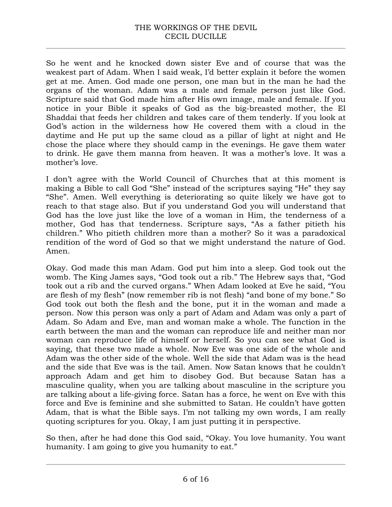#### THE WORKINGS OF THE DEVIL CECIL DUCILLE

So he went and he knocked down sister Eve and of course that was the weakest part of Adam. When I said weak, I'd better explain it before the women get at me. Amen. God made one person, one man but in the man he had the organs of the woman. Adam was a male and female person just like God. Scripture said that God made him after His own image, male and female. If you notice in your Bible it speaks of God as the big-breasted mother, the El Shaddai that feeds her children and takes care of them tenderly. If you look at God's action in the wilderness how He covered them with a cloud in the daytime and He put up the same cloud as a pillar of light at night and He chose the place where they should camp in the evenings. He gave them water to drink. He gave them manna from heaven. It was a mother's love. It was a mother's love.

I don't agree with the World Council of Churches that at this moment is making a Bible to call God "She" instead of the scriptures saying "He" they say "She". Amen. Well everything is deteriorating so quite likely we have got to reach to that stage also. But if you understand God you will understand that God has the love just like the love of a woman in Him, the tenderness of a mother, God has that tenderness. Scripture says, "As a father pitieth his children." Who pitieth children more than a mother? So it was a paradoxical rendition of the word of God so that we might understand the nature of God. Amen.

Okay. God made this man Adam. God put him into a sleep. God took out the womb. The King James says, "God took out a rib." The Hebrew says that, "God took out a rib and the curved organs." When Adam looked at Eve he said, "You are flesh of my flesh" (now remember rib is not flesh) "and bone of my bone." So God took out both the flesh and the bone, put it in the woman and made a person. Now this person was only a part of Adam and Adam was only a part of Adam. So Adam and Eve, man and woman make a whole. The function in the earth between the man and the woman can reproduce life and neither man nor woman can reproduce life of himself or herself. So you can see what God is saying, that these two made a whole. Now Eve was one side of the whole and Adam was the other side of the whole. Well the side that Adam was is the head and the side that Eve was is the tail. Amen. Now Satan knows that he couldn't approach Adam and get him to disobey God. But because Satan has a masculine quality, when you are talking about masculine in the scripture you are talking about a life-giving force. Satan has a force, he went on Eve with this force and Eve is feminine and she submitted to Satan. He couldn't have gotten Adam, that is what the Bible says. I'm not talking my own words, I am really quoting scriptures for you. Okay, I am just putting it in perspective.

So then, after he had done this God said, "Okay. You love humanity. You want humanity. I am going to give you humanity to eat."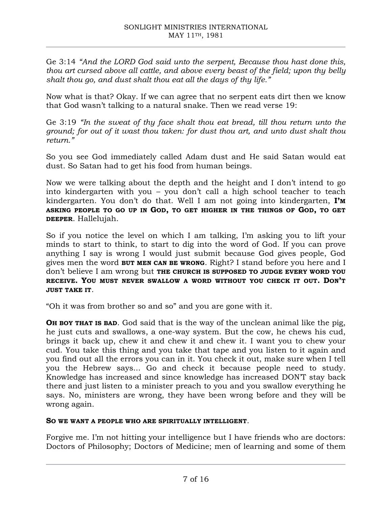Ge 3:14 *"And the LORD God said unto the serpent, Because thou hast done this, thou art cursed above all cattle, and above every beast of the field; upon thy belly shalt thou go, and dust shalt thou eat all the days of thy life."*

Now what is that? Okay. If we can agree that no serpent eats dirt then we know that God wasn't talking to a natural snake. Then we read verse 19:

Ge 3:19 *"In the sweat of thy face shalt thou eat bread, till thou return unto the ground; for out of it wast thou taken: for dust thou art, and unto dust shalt thou return."*

So you see God immediately called Adam dust and He said Satan would eat dust. So Satan had to get his food from human beings.

Now we were talking about the depth and the height and I don't intend to go into kindergarten with you – you don't call a high school teacher to teach kindergarten. You don't do that. Well I am not going into kindergarten, **I'M ASKING PEOPLE TO GO UP IN GOD, TO GET HIGHER IN THE THINGS OF GOD, TO GET DEEPER**. Hallelujah.

So if you notice the level on which I am talking, I'm asking you to lift your minds to start to think, to start to dig into the word of God. If you can prove anything I say is wrong I would just submit because God gives people, God gives men the word **BUT MEN CAN BE WRONG**. Right? I stand before you here and I don't believe I am wrong but **THE CHURCH IS SUPPOSED TO JUDGE EVERY WORD YOU RECEIVE. YOU MUST NEVER SWALLOW A WORD WITHOUT YOU CHECK IT OUT. DON'T JUST TAKE IT**.

"Oh it was from brother so and so" and you are gone with it.

**OH BOY THAT IS BAD**. God said that is the way of the unclean animal like the pig, he just cuts and swallows, a one-way system. But the cow, he chews his cud, brings it back up, chew it and chew it and chew it. I want you to chew your cud. You take this thing and you take that tape and you listen to it again and you find out all the errors you can in it. You check it out, make sure when I tell you the Hebrew says... Go and check it because people need to study. Knowledge has increased and since knowledge has increased DON'T stay back there and just listen to a minister preach to you and you swallow everything he says. No, ministers are wrong, they have been wrong before and they will be wrong again.

#### **SO WE WANT A PEOPLE WHO ARE SPIRITUALLY INTELLIGENT**.

Forgive me. I'm not hitting your intelligence but I have friends who are doctors: Doctors of Philosophy; Doctors of Medicine; men of learning and some of them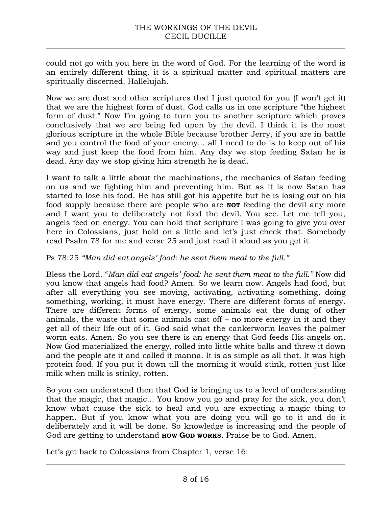could not go with you here in the word of God. For the learning of the word is an entirely different thing, it is a spiritual matter and spiritual matters are spiritually discerned. Hallelujah.

Now we are dust and other scriptures that I just quoted for you (I won't get it) that we are the highest form of dust. God calls us in one scripture "the highest form of dust." Now I'm going to turn you to another scripture which proves conclusively that we are being fed upon by the devil. I think it is the most glorious scripture in the whole Bible because brother Jerry, if you are in battle and you control the food of your enemy... all I need to do is to keep out of his way and just keep the food from him. Any day we stop feeding Satan he is dead. Any day we stop giving him strength he is dead.

I want to talk a little about the machinations, the mechanics of Satan feeding on us and we fighting him and preventing him. But as it is now Satan has started to lose his food. He has still got his appetite but he is losing out on his food supply because there are people who are **NOT** feeding the devil any more and I want you to deliberately not feed the devil. You see. Let me tell you, angels feed on energy. You can hold that scripture I was going to give you over here in Colossians, just hold on a little and let's just check that. Somebody read Psalm 78 for me and verse 25 and just read it aloud as you get it.

## Ps 78:25 *"Man did eat angels' food: he sent them meat to the full."*

Bless the Lord. "*Man did eat angels' food: he sent them meat to the full."* Now did you know that angels had food? Amen. So we learn now. Angels had food, but after all everything you see moving, activating, activating something, doing something, working, it must have energy. There are different forms of energy. There are different forms of energy, some animals eat the dung of other animals, the waste that some animals cast off – no more energy in it and they get all of their life out of it. God said what the cankerworm leaves the palmer worm eats. Amen. So you see there is an energy that God feeds His angels on. Now God materialized the energy, rolled into little white balls and threw it down and the people ate it and called it manna. It is as simple as all that. It was high protein food. If you put it down till the morning it would stink, rotten just like milk when milk is stinky, rotten.

So you can understand then that God is bringing us to a level of understanding that the magic, that magic... You know you go and pray for the sick, you don't know what cause the sick to heal and you are expecting a magic thing to happen. But if you know what you are doing you will go to it and do it deliberately and it will be done. So knowledge is increasing and the people of God are getting to understand **HOW GOD WORKS**. Praise be to God. Amen.

Let's get back to Colossians from Chapter 1, verse 16: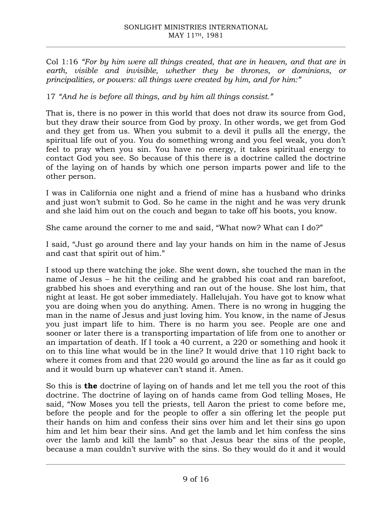Col 1:16 *"For by him were all things created, that are in heaven, and that are in earth, visible and invisible, whether they be thrones, or dominions, or principalities, or powers: all things were created by him, and for him:"*

## 17 *"And he is before all things, and by him all things consist."*

That is, there is no power in this world that does not draw its source from God, but they draw their source from God by proxy. In other words, we get from God and they get from us. When you submit to a devil it pulls all the energy, the spiritual life out of you. You do something wrong and you feel weak, you don't feel to pray when you sin. You have no energy, it takes spiritual energy to contact God you see. So because of this there is a doctrine called the doctrine of the laying on of hands by which one person imparts power and life to the other person.

I was in California one night and a friend of mine has a husband who drinks and just won't submit to God. So he came in the night and he was very drunk and she laid him out on the couch and began to take off his boots, you know.

She came around the corner to me and said, "What now? What can I do?"

I said, "Just go around there and lay your hands on him in the name of Jesus and cast that spirit out of him."

I stood up there watching the joke. She went down, she touched the man in the name of Jesus – he hit the ceiling and he grabbed his coat and ran barefoot, grabbed his shoes and everything and ran out of the house. She lost him, that night at least. He got sober immediately. Hallelujah. You have got to know what you are doing when you do anything. Amen. There is no wrong in hugging the man in the name of Jesus and just loving him. You know, in the name of Jesus you just impart life to him. There is no harm you see. People are one and sooner or later there is a transporting impartation of life from one to another or an impartation of death. If I took a 40 current, a 220 or something and hook it on to this line what would be in the line? It would drive that 110 right back to where it comes from and that 220 would go around the line as far as it could go and it would burn up whatever can't stand it. Amen.

So this is **the** doctrine of laying on of hands and let me tell you the root of this doctrine. The doctrine of laying on of hands came from God telling Moses, He said, "Now Moses you tell the priests, tell Aaron the priest to come before me, before the people and for the people to offer a sin offering let the people put their hands on him and confess their sins over him and let their sins go upon him and let him bear their sins. And get the lamb and let him confess the sins over the lamb and kill the lamb" so that Jesus bear the sins of the people, because a man couldn't survive with the sins. So they would do it and it would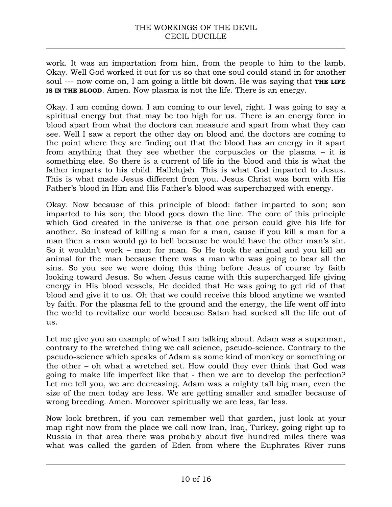work. It was an impartation from him, from the people to him to the lamb. Okay. Well God worked it out for us so that one soul could stand in for another soul --- now come on, I am going a little bit down. He was saying that **THE LIFE IS IN THE BLOOD**. Amen. Now plasma is not the life. There is an energy.

Okay. I am coming down. I am coming to our level, right. I was going to say a spiritual energy but that may be too high for us. There is an energy force in blood apart from what the doctors can measure and apart from what they can see. Well I saw a report the other day on blood and the doctors are coming to the point where they are finding out that the blood has an energy in it apart from anything that they see whether the corpuscles or the plasma – it is something else. So there is a current of life in the blood and this is what the father imparts to his child. Hallelujah. This is what God imparted to Jesus. This is what made Jesus different from you. Jesus Christ was born with His Father's blood in Him and His Father's blood was supercharged with energy.

Okay. Now because of this principle of blood: father imparted to son; son imparted to his son; the blood goes down the line. The core of this principle which God created in the universe is that one person could give his life for another. So instead of killing a man for a man, cause if you kill a man for a man then a man would go to hell because he would have the other man's sin. So it wouldn't work – man for man. So He took the animal and you kill an animal for the man because there was a man who was going to bear all the sins. So you see we were doing this thing before Jesus of course by faith looking toward Jesus. So when Jesus came with this supercharged life giving energy in His blood vessels, He decided that He was going to get rid of that blood and give it to us. Oh that we could receive this blood anytime we wanted by faith. For the plasma fell to the ground and the energy, the life went off into the world to revitalize our world because Satan had sucked all the life out of us.

Let me give you an example of what I am talking about. Adam was a superman, contrary to the wretched thing we call science, pseudo-science. Contrary to the pseudo-science which speaks of Adam as some kind of monkey or something or the other – oh what a wretched set. How could they ever think that God was going to make life imperfect like that - then we are to develop the perfection? Let me tell you, we are decreasing. Adam was a mighty tall big man, even the size of the men today are less. We are getting smaller and smaller because of wrong breeding. Amen. Moreover spiritually we are less, far less.

Now look brethren, if you can remember well that garden, just look at your map right now from the place we call now Iran, Iraq, Turkey, going right up to Russia in that area there was probably about five hundred miles there was what was called the garden of Eden from where the Euphrates River runs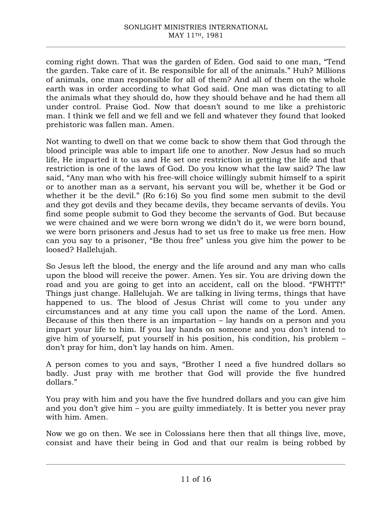coming right down. That was the garden of Eden. God said to one man, "Tend the garden. Take care of it. Be responsible for all of the animals." Huh? Millions of animals, one man responsible for all of them? And all of them on the whole earth was in order according to what God said. One man was dictating to all the animals what they should do, how they should behave and he had them all under control. Praise God. Now that doesn't sound to me like a prehistoric man. I think we fell and we fell and we fell and whatever they found that looked prehistoric was fallen man. Amen.

Not wanting to dwell on that we come back to show them that God through the blood principle was able to impart life one to another. Now Jesus had so much life, He imparted it to us and He set one restriction in getting the life and that restriction is one of the laws of God. Do you know what the law said? The law said, "Any man who with his free-will choice willingly submit himself to a spirit or to another man as a servant, his servant you will be, whether it be God or whether it be the devil." (Ro 6:16) So you find some men submit to the devil and they got devils and they became devils, they became servants of devils. You find some people submit to God they become the servants of God. But because we were chained and we were born wrong we didn't do it, we were born bound, we were born prisoners and Jesus had to set us free to make us free men. How can you say to a prisoner, "Be thou free" unless you give him the power to be loosed? Hallelujah.

So Jesus left the blood, the energy and the life around and any man who calls upon the blood will receive the power. Amen. Yes sir. You are driving down the road and you are going to get into an accident, call on the blood. "FWHTT!" Things just change. Hallelujah. We are talking in living terms, things that have happened to us. The blood of Jesus Christ will come to you under any circumstances and at any time you call upon the name of the Lord. Amen. Because of this then there is an impartation – lay hands on a person and you impart your life to him. If you lay hands on someone and you don't intend to give him of yourself, put yourself in his position, his condition, his problem – don't pray for him, don't lay hands on him. Amen.

A person comes to you and says, "Brother I need a five hundred dollars so badly. Just pray with me brother that God will provide the five hundred dollars."

You pray with him and you have the five hundred dollars and you can give him and you don't give him – you are guilty immediately. It is better you never pray with him. Amen.

Now we go on then. We see in Colossians here then that all things live, move, consist and have their being in God and that our realm is being robbed by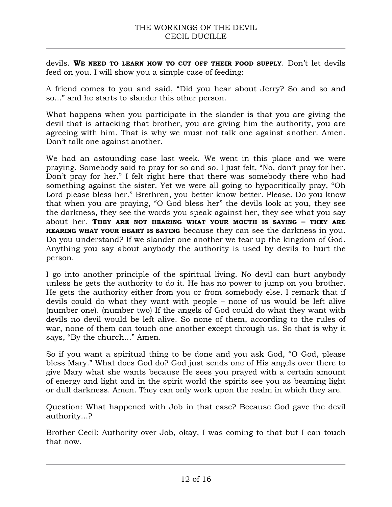devils. **WE NEED TO LEARN HOW TO CUT OFF THEIR FOOD SUPPLY**. Don't let devils feed on you. I will show you a simple case of feeding:

A friend comes to you and said, "Did you hear about Jerry? So and so and so..." and he starts to slander this other person.

What happens when you participate in the slander is that you are giving the devil that is attacking that brother, you are giving him the authority, you are agreeing with him. That is why we must not talk one against another. Amen. Don't talk one against another.

We had an astounding case last week. We went in this place and we were praying. Somebody said to pray for so and so. I just felt, "No, don't pray for her. Don't pray for her." I felt right here that there was somebody there who had something against the sister. Yet we were all going to hypocritically pray, "Oh Lord please bless her." Brethren, you better know better. Please. Do you know that when you are praying, "O God bless her" the devils look at you, they see the darkness, they see the words you speak against her, they see what you say about her. **THEY ARE NOT HEARING WHAT YOUR MOUTH IS SAYING – THEY ARE HEARING WHAT YOUR HEART IS SAYING** because they can see the darkness in you. Do you understand? If we slander one another we tear up the kingdom of God. Anything you say about anybody the authority is used by devils to hurt the person.

I go into another principle of the spiritual living. No devil can hurt anybody unless he gets the authority to do it. He has no power to jump on you brother. He gets the authority either from you or from somebody else. I remark that if devils could do what they want with people – none of us would be left alive (number one). (number two) If the angels of God could do what they want with devils no devil would be left alive. So none of them, according to the rules of war, none of them can touch one another except through us. So that is why it says, "By the church..." Amen.

So if you want a spiritual thing to be done and you ask God, "O God, please bless Mary." What does God do? God just sends one of His angels over there to give Mary what she wants because He sees you prayed with a certain amount of energy and light and in the spirit world the spirits see you as beaming light or dull darkness. Amen. They can only work upon the realm in which they are.

Question: What happened with Job in that case? Because God gave the devil authority...?

Brother Cecil: Authority over Job, okay, I was coming to that but I can touch that now.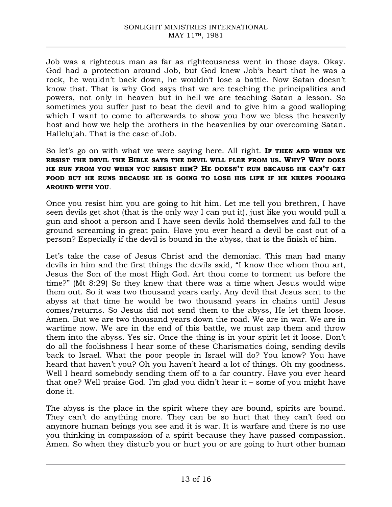Job was a righteous man as far as righteousness went in those days. Okay. God had a protection around Job, but God knew Job's heart that he was a rock, he wouldn't back down, he wouldn't lose a battle. Now Satan doesn't know that. That is why God says that we are teaching the principalities and powers, not only in heaven but in hell we are teaching Satan a lesson. So sometimes you suffer just to beat the devil and to give him a good walloping which I want to come to afterwards to show you how we bless the heavenly host and how we help the brothers in the heavenlies by our overcoming Satan. Hallelujah. That is the case of Job.

So let's go on with what we were saying here. All right. **IF THEN AND WHEN WE RESIST THE DEVIL THE BIBLE SAYS THE DEVIL WILL FLEE FROM US. WHY? WHY DOES HE RUN FROM YOU WHEN YOU RESIST HIM? HE DOESN'T RUN BECAUSE HE CAN'T GET FOOD BUT HE RUNS BECAUSE HE IS GOING TO LOSE HIS LIFE IF HE KEEPS FOOLING AROUND WITH YOU**.

Once you resist him you are going to hit him. Let me tell you brethren, I have seen devils get shot (that is the only way I can put it), just like you would pull a gun and shoot a person and I have seen devils hold themselves and fall to the ground screaming in great pain. Have you ever heard a devil be cast out of a person? Especially if the devil is bound in the abyss, that is the finish of him.

Let's take the case of Jesus Christ and the demoniac. This man had many devils in him and the first things the devils said, "I know thee whom thou art, Jesus the Son of the most High God. Art thou come to torment us before the time?" (Mt 8:29) So they knew that there was a time when Jesus would wipe them out. So it was two thousand years early. Any devil that Jesus sent to the abyss at that time he would be two thousand years in chains until Jesus comes/returns. So Jesus did not send them to the abyss, He let them loose. Amen. But we are two thousand years down the road. We are in war. We are in wartime now. We are in the end of this battle, we must zap them and throw them into the abyss. Yes sir. Once the thing is in your spirit let it loose. Don't do all the foolishness I hear some of these Charismatics doing, sending devils back to Israel. What the poor people in Israel will do? You know? You have heard that haven't you? Oh you haven't heard a lot of things. Oh my goodness. Well I heard somebody sending them off to a far country. Have you ever heard that one? Well praise God. I'm glad you didn't hear it – some of you might have done it.

The abyss is the place in the spirit where they are bound, spirits are bound. They can't do anything more. They can be so hurt that they can't feed on anymore human beings you see and it is war. It is warfare and there is no use you thinking in compassion of a spirit because they have passed compassion. Amen. So when they disturb you or hurt you or are going to hurt other human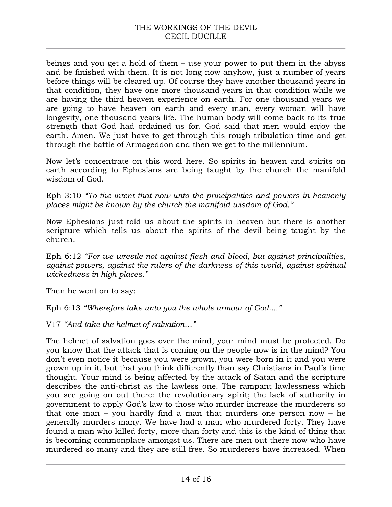beings and you get a hold of them – use your power to put them in the abyss and be finished with them. It is not long now anyhow, just a number of years before things will be cleared up. Of course they have another thousand years in that condition, they have one more thousand years in that condition while we are having the third heaven experience on earth. For one thousand years we are going to have heaven on earth and every man, every woman will have longevity, one thousand years life. The human body will come back to its true strength that God had ordained us for. God said that men would enjoy the earth. Amen. We just have to get through this rough tribulation time and get through the battle of Armageddon and then we get to the millennium.

Now let's concentrate on this word here. So spirits in heaven and spirits on earth according to Ephesians are being taught by the church the manifold wisdom of God.

Eph 3:10 *"To the intent that now unto the principalities and powers in heavenly places might be known by the church the manifold wisdom of God,"*

Now Ephesians just told us about the spirits in heaven but there is another scripture which tells us about the spirits of the devil being taught by the church.

Eph 6:12 *"For we wrestle not against flesh and blood, but against principalities, against powers, against the rulers of the darkness of this world, against spiritual wickedness in high places."*

Then he went on to say:

Eph 6:13 *"Wherefore take unto you the whole armour of God...."*

V17 *"And take the helmet of salvation…"*

The helmet of salvation goes over the mind, your mind must be protected. Do you know that the attack that is coming on the people now is in the mind? You don't even notice it because you were grown, you were born in it and you were grown up in it, but that you think differently than say Christians in Paul's time thought. Your mind is being affected by the attack of Satan and the scripture describes the anti-christ as the lawless one. The rampant lawlessness which you see going on out there: the revolutionary spirit; the lack of authority in government to apply God's law to those who murder increase the murderers so that one man – you hardly find a man that murders one person now – he generally murders many. We have had a man who murdered forty. They have found a man who killed forty, more than forty and this is the kind of thing that is becoming commonplace amongst us. There are men out there now who have murdered so many and they are still free. So murderers have increased. When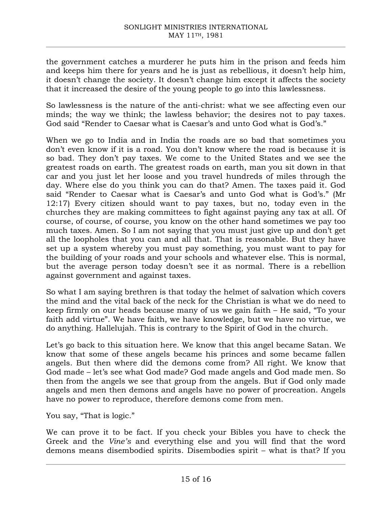the government catches a murderer he puts him in the prison and feeds him and keeps him there for years and he is just as rebellious, it doesn't help him, it doesn't change the society. It doesn't change him except it affects the society that it increased the desire of the young people to go into this lawlessness.

So lawlessness is the nature of the anti-christ: what we see affecting even our minds; the way we think; the lawless behavior; the desires not to pay taxes. God said "Render to Caesar what is Caesar's and unto God what is God's."

When we go to India and in India the roads are so bad that sometimes you don't even know if it is a road. You don't know where the road is because it is so bad. They don't pay taxes. We come to the United States and we see the greatest roads on earth. The greatest roads on earth, man you sit down in that car and you just let her loose and you travel hundreds of miles through the day. Where else do you think you can do that? Amen. The taxes paid it. God said "Render to Caesar what is Caesar's and unto God what is God's." (Mr 12:17) Every citizen should want to pay taxes, but no, today even in the churches they are making committees to fight against paying any tax at all. Of course, of course, of course, you know on the other hand sometimes we pay too much taxes. Amen. So I am not saying that you must just give up and don't get all the loopholes that you can and all that. That is reasonable. But they have set up a system whereby you must pay something, you must want to pay for the building of your roads and your schools and whatever else. This is normal, but the average person today doesn't see it as normal. There is a rebellion against government and against taxes.

So what I am saying brethren is that today the helmet of salvation which covers the mind and the vital back of the neck for the Christian is what we do need to keep firmly on our heads because many of us we gain faith – He said, "To your faith add virtue". We have faith, we have knowledge, but we have no virtue, we do anything. Hallelujah. This is contrary to the Spirit of God in the church.

Let's go back to this situation here. We know that this angel became Satan. We know that some of these angels became his princes and some became fallen angels. But then where did the demons come from? All right. We know that God made – let's see what God made? God made angels and God made men. So then from the angels we see that group from the angels. But if God only made angels and men then demons and angels have no power of procreation. Angels have no power to reproduce, therefore demons come from men.

You say, "That is logic."

We can prove it to be fact. If you check your Bibles you have to check the Greek and the *Vine's* and everything else and you will find that the word demons means disembodied spirits. Disembodies spirit – what is that? If you